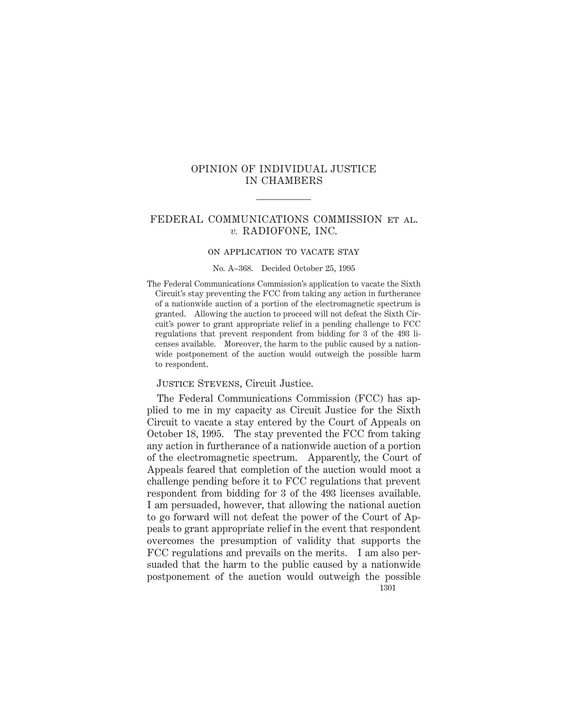# OPINION OF INDIVIDUAL JUSTICE IN CHAMBERS

## FEDERAL COMMUNICATIONS COMMISSION et al. *v.* RADIOFONE, INC.

#### on application to vacate stay

#### No. A–368. Decided October 25, 1995

The Federal Communications Commission's application to vacate the Sixth Circuit's stay preventing the FCC from taking any action in furtherance of a nationwide auction of a portion of the electromagnetic spectrum is granted. Allowing the auction to proceed will not defeat the Sixth Circuit's power to grant appropriate relief in a pending challenge to FCC regulations that prevent respondent from bidding for 3 of the 493 licenses available. Moreover, the harm to the public caused by a nationwide postponement of the auction would outweigh the possible harm to respondent.

### Justice Stevens, Circuit Justice.

The Federal Communications Commission (FCC) has applied to me in my capacity as Circuit Justice for the Sixth Circuit to vacate a stay entered by the Court of Appeals on October 18, 1995. The stay prevented the FCC from taking any action in furtherance of a nationwide auction of a portion of the electromagnetic spectrum. Apparently, the Court of Appeals feared that completion of the auction would moot a challenge pending before it to FCC regulations that prevent respondent from bidding for 3 of the 493 licenses available. I am persuaded, however, that allowing the national auction to go forward will not defeat the power of the Court of Appeals to grant appropriate relief in the event that respondent overcomes the presumption of validity that supports the FCC regulations and prevails on the merits. I am also persuaded that the harm to the public caused by a nationwide postponement of the auction would outweigh the possible 1301